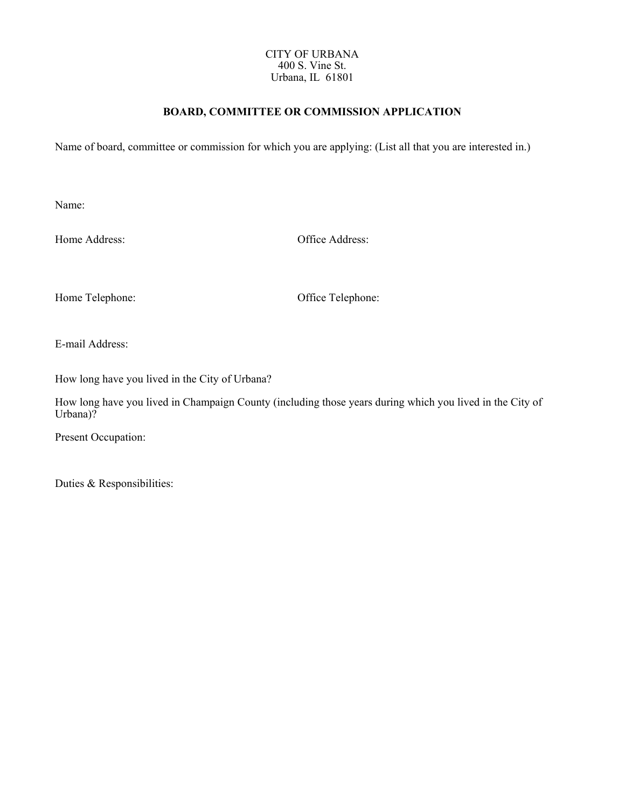#### CITY OF URBANA 400 S. Vine St. Urbana, IL 61801

## **BOARD, COMMITTEE OR COMMISSION APPLICATION**

Name of board, committee or commission for which you are applying: (List all that you are interested in.)

Name:

Home Address: Office Address:

Home Telephone: Office Telephone:

E-mail Address:

How long have you lived in the City of Urbana?

How long have you lived in Champaign County (including those years during which you lived in the City of Urbana)?

Present Occupation:

Duties & Responsibilities: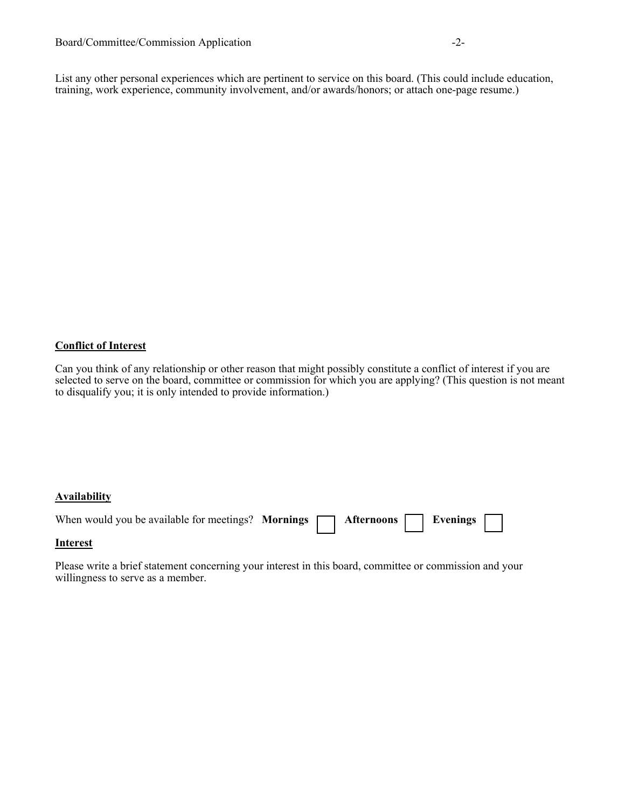List any other personal experiences which are pertinent to service on this board. (This could include education, training, work experience, community involvement, and/or awards/honors; or attach one-page resume.)

# **Conflict of Interest**

Can you think of any relationship or other reason that might possibly constitute a conflict of interest if you are selected to serve on the board, committee or commission for which you are applying? (This question is not meant to disqualify you; it is only intended to provide information.)

### **Availability**

| When would you be available for meetings? Mornings $\Box$ Afternoons $\Box$ Evenings $\Box$ |  |  |  |  |
|---------------------------------------------------------------------------------------------|--|--|--|--|
| $T = 1 - 1$                                                                                 |  |  |  |  |

### **Interest**

Please write a brief statement concerning your interest in this board, committee or commission and your willingness to serve as a member.